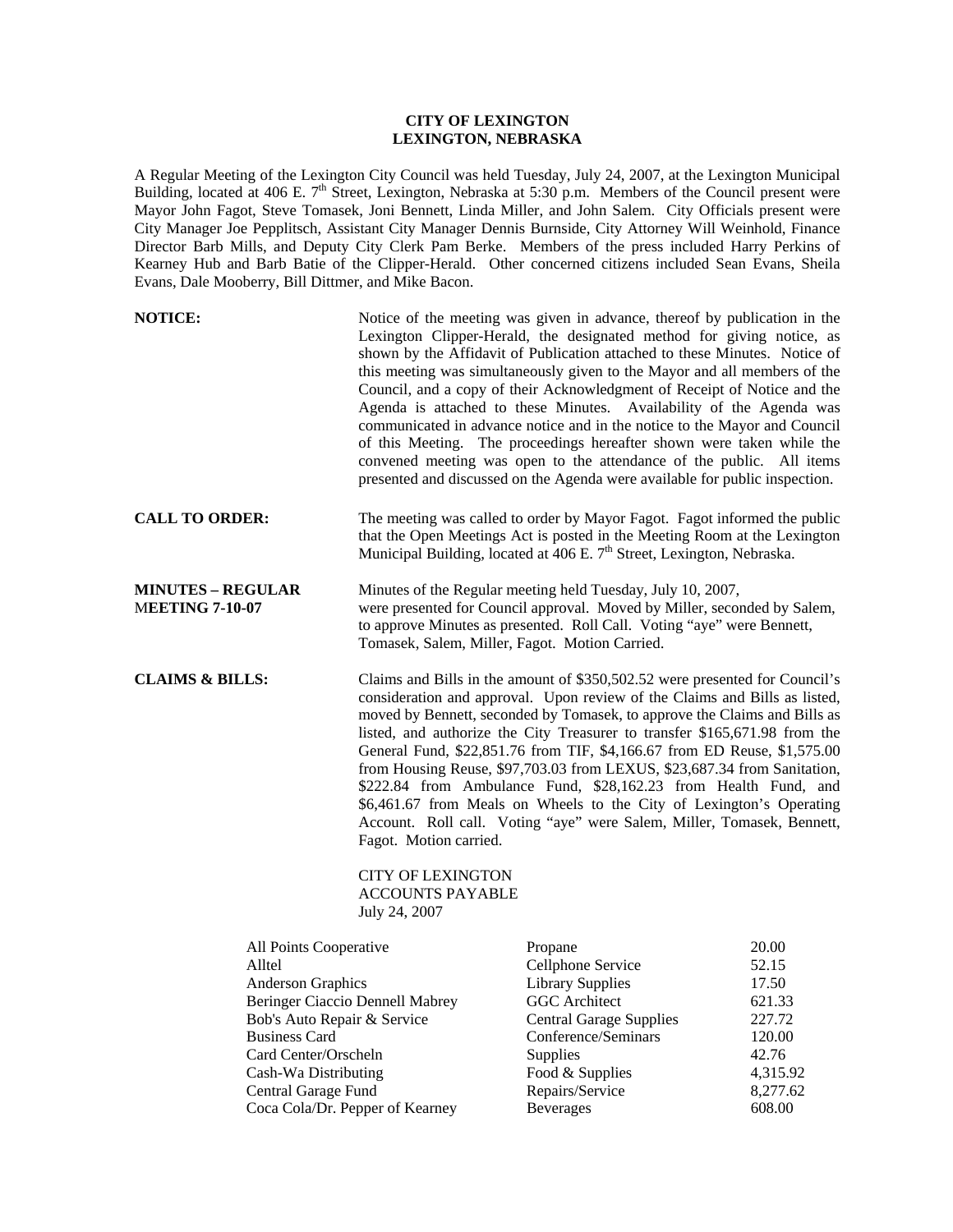## **CITY OF LEXINGTON LEXINGTON, NEBRASKA**

A Regular Meeting of the Lexington City Council was held Tuesday, July 24, 2007, at the Lexington Municipal Building, located at 406 E. 7<sup>th</sup> Street, Lexington, Nebraska at 5:30 p.m. Members of the Council present were Mayor John Fagot, Steve Tomasek, Joni Bennett, Linda Miller, and John Salem. City Officials present were City Manager Joe Pepplitsch, Assistant City Manager Dennis Burnside, City Attorney Will Weinhold, Finance Director Barb Mills, and Deputy City Clerk Pam Berke. Members of the press included Harry Perkins of Kearney Hub and Barb Batie of the Clipper-Herald. Other concerned citizens included Sean Evans, Sheila Evans, Dale Mooberry, Bill Dittmer, and Mike Bacon.

| <b>NOTICE:</b>                                                                                                                                                                                                                                            |                                                                                                                                                                                                                                                                                                                                                                                                                                                                                                                                                                                                                                                                                                                                                                                                     | Notice of the meeting was given in advance, thereof by publication in the<br>Lexington Clipper-Herald, the designated method for giving notice, as<br>shown by the Affidavit of Publication attached to these Minutes. Notice of<br>this meeting was simultaneously given to the Mayor and all members of the<br>Council, and a copy of their Acknowledgment of Receipt of Notice and the<br>Agenda is attached to these Minutes. Availability of the Agenda was<br>communicated in advance notice and in the notice to the Mayor and Council<br>of this Meeting. The proceedings hereafter shown were taken while the<br>convened meeting was open to the attendance of the public. All items<br>presented and discussed on the Agenda were available for public inspection. |                                                                                                  |
|-----------------------------------------------------------------------------------------------------------------------------------------------------------------------------------------------------------------------------------------------------------|-----------------------------------------------------------------------------------------------------------------------------------------------------------------------------------------------------------------------------------------------------------------------------------------------------------------------------------------------------------------------------------------------------------------------------------------------------------------------------------------------------------------------------------------------------------------------------------------------------------------------------------------------------------------------------------------------------------------------------------------------------------------------------------------------------|-------------------------------------------------------------------------------------------------------------------------------------------------------------------------------------------------------------------------------------------------------------------------------------------------------------------------------------------------------------------------------------------------------------------------------------------------------------------------------------------------------------------------------------------------------------------------------------------------------------------------------------------------------------------------------------------------------------------------------------------------------------------------------|--------------------------------------------------------------------------------------------------|
| <b>CALL TO ORDER:</b>                                                                                                                                                                                                                                     |                                                                                                                                                                                                                                                                                                                                                                                                                                                                                                                                                                                                                                                                                                                                                                                                     | The meeting was called to order by Mayor Fagot. Fagot informed the public<br>that the Open Meetings Act is posted in the Meeting Room at the Lexington<br>Municipal Building, located at 406 E. 7 <sup>th</sup> Street, Lexington, Nebraska.                                                                                                                                                                                                                                                                                                                                                                                                                                                                                                                                  |                                                                                                  |
| <b>MINUTES - REGULAR</b><br><b>MEETING 7-10-07</b>                                                                                                                                                                                                        |                                                                                                                                                                                                                                                                                                                                                                                                                                                                                                                                                                                                                                                                                                                                                                                                     | Minutes of the Regular meeting held Tuesday, July 10, 2007,<br>were presented for Council approval. Moved by Miller, seconded by Salem,<br>to approve Minutes as presented. Roll Call. Voting "aye" were Bennett,<br>Tomasek, Salem, Miller, Fagot. Motion Carried.                                                                                                                                                                                                                                                                                                                                                                                                                                                                                                           |                                                                                                  |
| <b>CLAIMS &amp; BILLS:</b>                                                                                                                                                                                                                                | Claims and Bills in the amount of \$350,502.52 were presented for Council's<br>consideration and approval. Upon review of the Claims and Bills as listed,<br>moved by Bennett, seconded by Tomasek, to approve the Claims and Bills as<br>listed, and authorize the City Treasurer to transfer \$165,671.98 from the<br>General Fund, \$22,851.76 from TIF, \$4,166.67 from ED Reuse, \$1,575.00<br>from Housing Reuse, \$97,703.03 from LEXUS, \$23,687.34 from Sanitation,<br>\$222.84 from Ambulance Fund, \$28,162.23 from Health Fund, and<br>\$6,461.67 from Meals on Wheels to the City of Lexington's Operating<br>Account. Roll call. Voting "aye" were Salem, Miller, Tomasek, Bennett,<br>Fagot. Motion carried.<br><b>CITY OF LEXINGTON</b><br><b>ACCOUNTS PAYABLE</b><br>July 24, 2007 |                                                                                                                                                                                                                                                                                                                                                                                                                                                                                                                                                                                                                                                                                                                                                                               |                                                                                                  |
| All Points Cooperative<br>Alltel<br>Anderson Graphics<br>Beringer Ciaccio Dennell Mabrey<br>Bob's Auto Repair & Service<br><b>Business Card</b><br>Card Center/Orscheln<br>Cash-Wa Distributing<br>Central Garage Fund<br>Coca Cola/Dr. Pepper of Kearney |                                                                                                                                                                                                                                                                                                                                                                                                                                                                                                                                                                                                                                                                                                                                                                                                     | Propane<br>Cellphone Service<br><b>Library Supplies</b><br><b>GGC</b> Architect<br><b>Central Garage Supplies</b><br>Conference/Seminars<br>Supplies<br>Food & Supplies<br>Repairs/Service<br><b>Beverages</b>                                                                                                                                                                                                                                                                                                                                                                                                                                                                                                                                                                | 20.00<br>52.15<br>17.50<br>621.33<br>227.72<br>120.00<br>42.76<br>4,315.92<br>8,277.62<br>608.00 |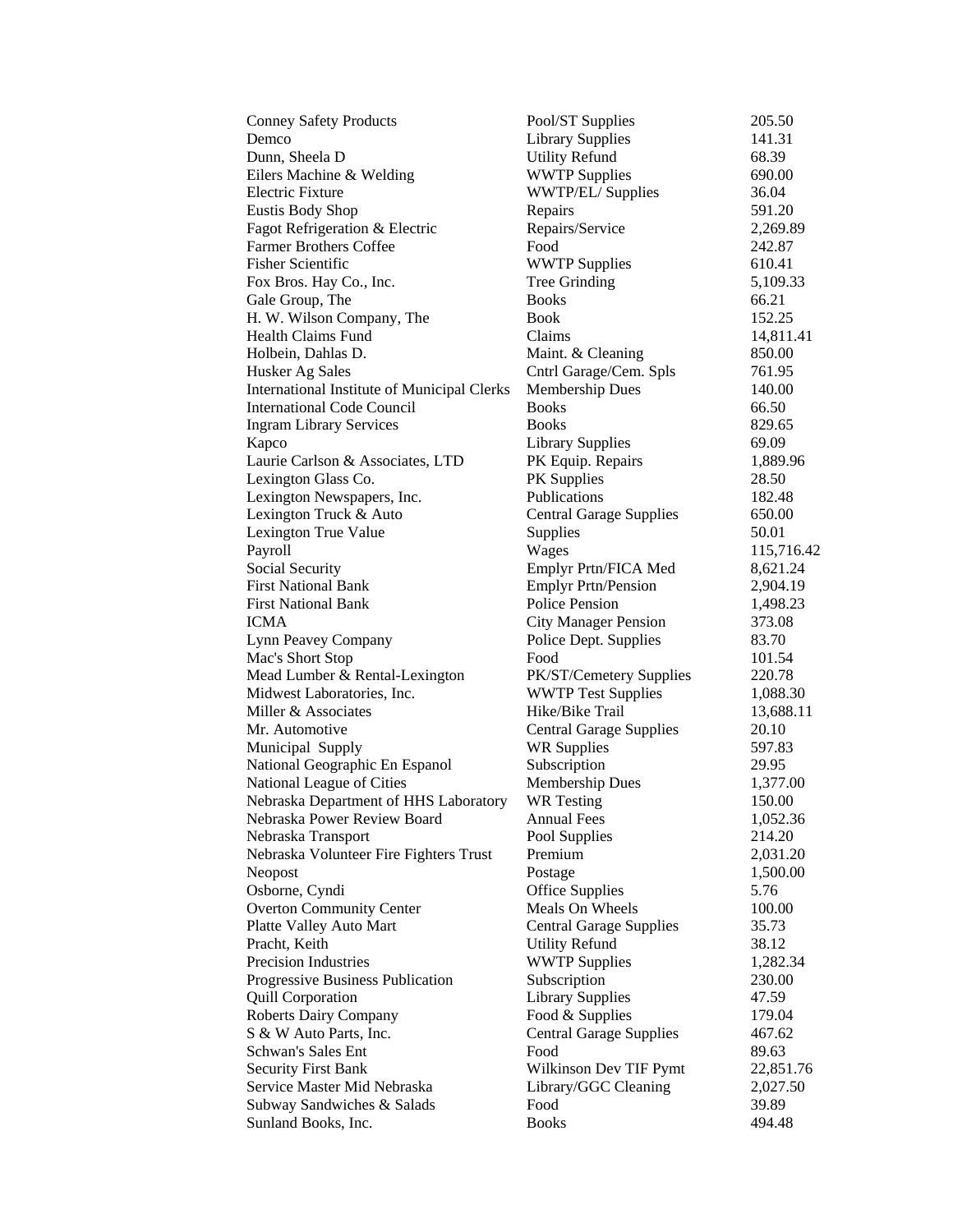| <b>Conney Safety Products</b>                      | Pool/ST Supplies               | 205.50     |
|----------------------------------------------------|--------------------------------|------------|
| Demco                                              | <b>Library Supplies</b>        | 141.31     |
| Dunn, Sheela D                                     | <b>Utility Refund</b>          | 68.39      |
| Eilers Machine & Welding                           | <b>WWTP Supplies</b>           | 690.00     |
| <b>Electric Fixture</b>                            | WWTP/EL/ Supplies              | 36.04      |
| <b>Eustis Body Shop</b>                            | Repairs                        | 591.20     |
| Fagot Refrigeration & Electric                     | Repairs/Service                | 2,269.89   |
| <b>Farmer Brothers Coffee</b>                      | Food                           | 242.87     |
| <b>Fisher Scientific</b>                           | <b>WWTP Supplies</b>           | 610.41     |
| Fox Bros. Hay Co., Inc.                            | Tree Grinding                  | 5,109.33   |
| Gale Group, The                                    | <b>Books</b>                   | 66.21      |
| H. W. Wilson Company, The                          | <b>Book</b>                    | 152.25     |
| Health Claims Fund                                 | Claims                         | 14,811.41  |
| Holbein, Dahlas D.                                 | Maint. & Cleaning              | 850.00     |
| Husker Ag Sales                                    | Cntrl Garage/Cem. Spls         | 761.95     |
| <b>International Institute of Municipal Clerks</b> | <b>Membership Dues</b>         | 140.00     |
| <b>International Code Council</b>                  | <b>Books</b>                   | 66.50      |
| <b>Ingram Library Services</b>                     | <b>Books</b>                   | 829.65     |
| Kapco                                              | <b>Library Supplies</b>        | 69.09      |
| Laurie Carlson & Associates, LTD                   | PK Equip. Repairs              | 1,889.96   |
| Lexington Glass Co.                                | PK Supplies                    | 28.50      |
| Lexington Newspapers, Inc.                         | Publications                   | 182.48     |
| Lexington Truck & Auto                             | <b>Central Garage Supplies</b> | 650.00     |
| Lexington True Value                               | Supplies                       | 50.01      |
| Payroll                                            | Wages                          | 115,716.42 |
| <b>Social Security</b>                             | Emplyr Prtn/FICA Med           | 8,621.24   |
| <b>First National Bank</b>                         | <b>Emplyr Prtn/Pension</b>     | 2,904.19   |
| <b>First National Bank</b>                         | Police Pension                 | 1,498.23   |
| ICMA                                               | <b>City Manager Pension</b>    | 373.08     |
| Lynn Peavey Company                                | Police Dept. Supplies          | 83.70      |
| Mac's Short Stop                                   | Food                           | 101.54     |
| Mead Lumber & Rental-Lexington                     | PK/ST/Cemetery Supplies        | 220.78     |
| Midwest Laboratories, Inc.                         | <b>WWTP Test Supplies</b>      | 1,088.30   |
| Miller & Associates                                | Hike/Bike Trail                | 13,688.11  |
| Mr. Automotive                                     | <b>Central Garage Supplies</b> | 20.10      |
| Municipal Supply                                   | <b>WR Supplies</b>             | 597.83     |
| National Geographic En Espanol                     | Subscription                   | 29.95      |
| National League of Cities                          | Membership Dues                | 1,377.00   |
| Nebraska Department of HHS Laboratory              | <b>WR</b> Testing              | 150.00     |
| Nebraska Power Review Board                        | <b>Annual Fees</b>             | 1,052.36   |
| Nebraska Transport                                 | Pool Supplies                  | 214.20     |
| Nebraska Volunteer Fire Fighters Trust             | Premium                        | 2,031.20   |
| Neopost                                            | Postage                        | 1,500.00   |
| Osborne, Cyndi                                     | <b>Office Supplies</b>         | 5.76       |
| <b>Overton Community Center</b>                    | Meals On Wheels                | 100.00     |
| Platte Valley Auto Mart                            | <b>Central Garage Supplies</b> | 35.73      |
| Pracht, Keith                                      | <b>Utility Refund</b>          | 38.12      |
| Precision Industries                               | <b>WWTP Supplies</b>           | 1,282.34   |
| Progressive Business Publication                   | Subscription                   | 230.00     |
| <b>Quill Corporation</b>                           | <b>Library Supplies</b>        | 47.59      |
| <b>Roberts Dairy Company</b>                       | Food & Supplies                | 179.04     |
| S & W Auto Parts, Inc.                             | <b>Central Garage Supplies</b> | 467.62     |
| Schwan's Sales Ent                                 | Food                           | 89.63      |
| <b>Security First Bank</b>                         | Wilkinson Dev TIF Pymt         | 22,851.76  |
| Service Master Mid Nebraska                        | Library/GGC Cleaning           | 2,027.50   |
| Subway Sandwiches & Salads                         | Food                           | 39.89      |
| Sunland Books, Inc.                                | <b>Books</b>                   | 494.48     |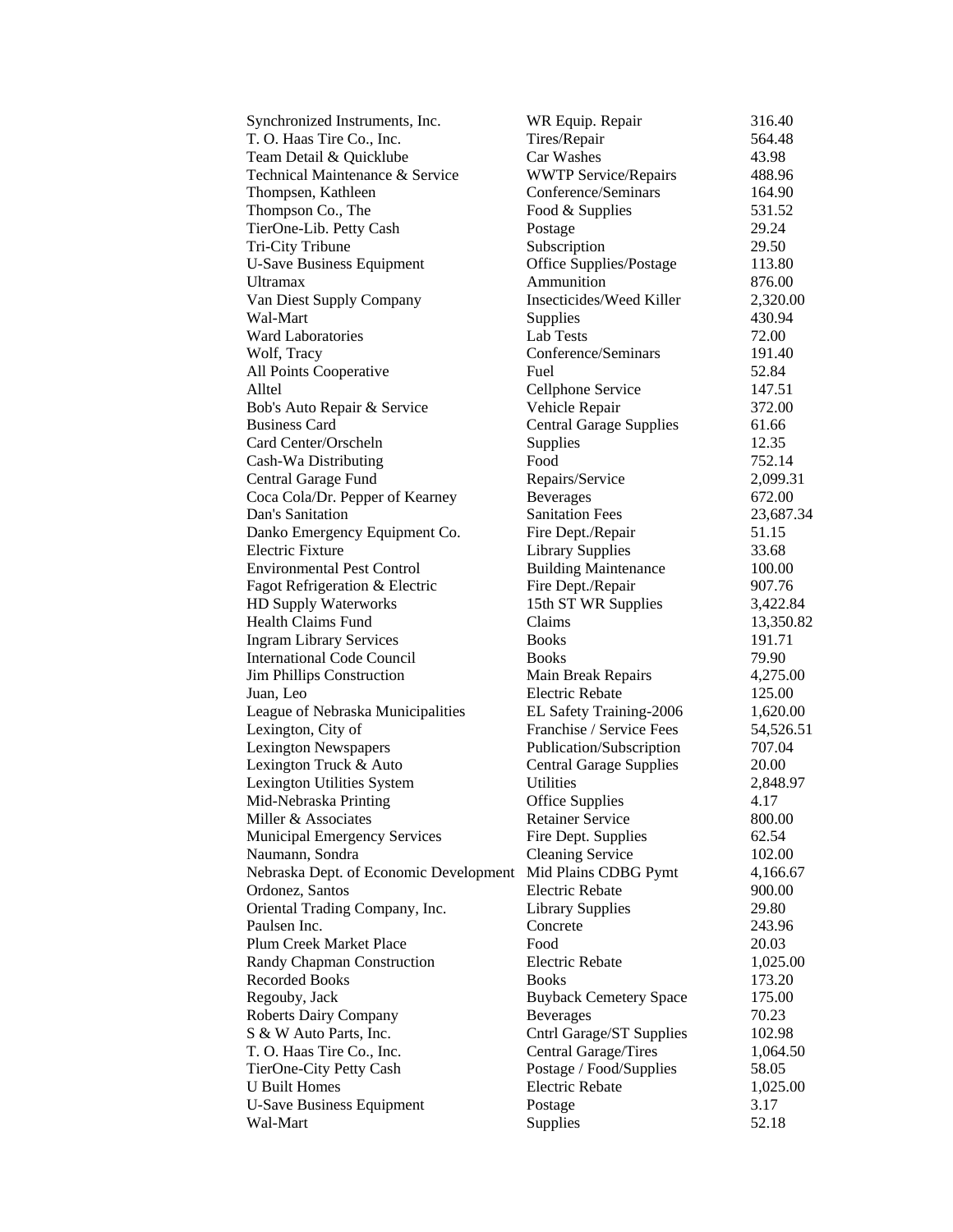| Synchronized Instruments, Inc.         | WR Equip. Repair               | 316.40    |
|----------------------------------------|--------------------------------|-----------|
| T. O. Haas Tire Co., Inc.              | Tires/Repair                   | 564.48    |
| Team Detail & Quicklube                | Car Washes                     | 43.98     |
| Technical Maintenance & Service        | <b>WWTP Service/Repairs</b>    | 488.96    |
| Thompsen, Kathleen                     | Conference/Seminars            | 164.90    |
| Thompson Co., The                      | Food & Supplies                | 531.52    |
| TierOne-Lib. Petty Cash                | Postage                        | 29.24     |
| Tri-City Tribune                       | Subscription                   | 29.50     |
| <b>U-Save Business Equipment</b>       | Office Supplies/Postage        | 113.80    |
| <b>Ultramax</b>                        | Ammunition                     | 876.00    |
| Van Diest Supply Company               | Insecticides/Weed Killer       | 2,320.00  |
| Wal-Mart                               | Supplies                       | 430.94    |
| <b>Ward Laboratories</b>               | Lab Tests                      | 72.00     |
| Wolf, Tracy                            | Conference/Seminars            | 191.40    |
| All Points Cooperative                 | Fuel                           | 52.84     |
| Alltel                                 | Cellphone Service              | 147.51    |
| Bob's Auto Repair & Service            | Vehicle Repair                 | 372.00    |
| <b>Business Card</b>                   | <b>Central Garage Supplies</b> | 61.66     |
| Card Center/Orscheln                   | Supplies                       | 12.35     |
| Cash-Wa Distributing                   | Food                           | 752.14    |
| Central Garage Fund                    | Repairs/Service                | 2,099.31  |
| Coca Cola/Dr. Pepper of Kearney        | <b>Beverages</b>               | 672.00    |
| Dan's Sanitation                       | <b>Sanitation Fees</b>         | 23,687.34 |
| Danko Emergency Equipment Co.          | Fire Dept./Repair              | 51.15     |
| <b>Electric Fixture</b>                | <b>Library Supplies</b>        | 33.68     |
| <b>Environmental Pest Control</b>      | <b>Building Maintenance</b>    | 100.00    |
| Fagot Refrigeration & Electric         | Fire Dept./Repair              | 907.76    |
| HD Supply Waterworks                   | 15th ST WR Supplies            | 3,422.84  |
| <b>Health Claims Fund</b>              | Claims                         | 13,350.82 |
| <b>Ingram Library Services</b>         | <b>Books</b>                   | 191.71    |
| <b>International Code Council</b>      | <b>Books</b>                   | 79.90     |
| <b>Jim Phillips Construction</b>       | Main Break Repairs             | 4,275.00  |
| Juan, Leo                              | <b>Electric Rebate</b>         | 125.00    |
| League of Nebraska Municipalities      | EL Safety Training-2006        | 1,620.00  |
| Lexington, City of                     | Franchise / Service Fees       | 54,526.51 |
| <b>Lexington Newspapers</b>            | Publication/Subscription       | 707.04    |
| Lexington Truck & Auto                 | <b>Central Garage Supplies</b> | 20.00     |
| Lexington Utilities System             | Utilities                      | 2,848.97  |
| Mid-Nebraska Printing                  | Office Supplies                | 4.17      |
| Miller & Associates                    | <b>Retainer Service</b>        | 800.00    |
| <b>Municipal Emergency Services</b>    | Fire Dept. Supplies            | 62.54     |
| Naumann, Sondra                        | <b>Cleaning Service</b>        | 102.00    |
| Nebraska Dept. of Economic Development | Mid Plains CDBG Pymt           | 4,166.67  |
| Ordonez, Santos                        | <b>Electric Rebate</b>         | 900.00    |
| Oriental Trading Company, Inc.         | <b>Library Supplies</b>        | 29.80     |
| Paulsen Inc.                           | Concrete                       | 243.96    |
| Plum Creek Market Place                | Food                           | 20.03     |
| Randy Chapman Construction             | <b>Electric Rebate</b>         | 1,025.00  |
| <b>Recorded Books</b>                  | <b>Books</b>                   | 173.20    |
| Regouby, Jack                          | <b>Buyback Cemetery Space</b>  | 175.00    |
| <b>Roberts Dairy Company</b>           | <b>Beverages</b>               | 70.23     |
| S & W Auto Parts, Inc.                 | Cntrl Garage/ST Supplies       | 102.98    |
| T. O. Haas Tire Co., Inc.              | Central Garage/Tires           | 1,064.50  |
| TierOne-City Petty Cash                | Postage / Food/Supplies        | 58.05     |
| <b>U</b> Built Homes                   | <b>Electric Rebate</b>         | 1,025.00  |
| <b>U-Save Business Equipment</b>       | Postage                        | 3.17      |
| Wal-Mart                               | Supplies                       | 52.18     |
|                                        |                                |           |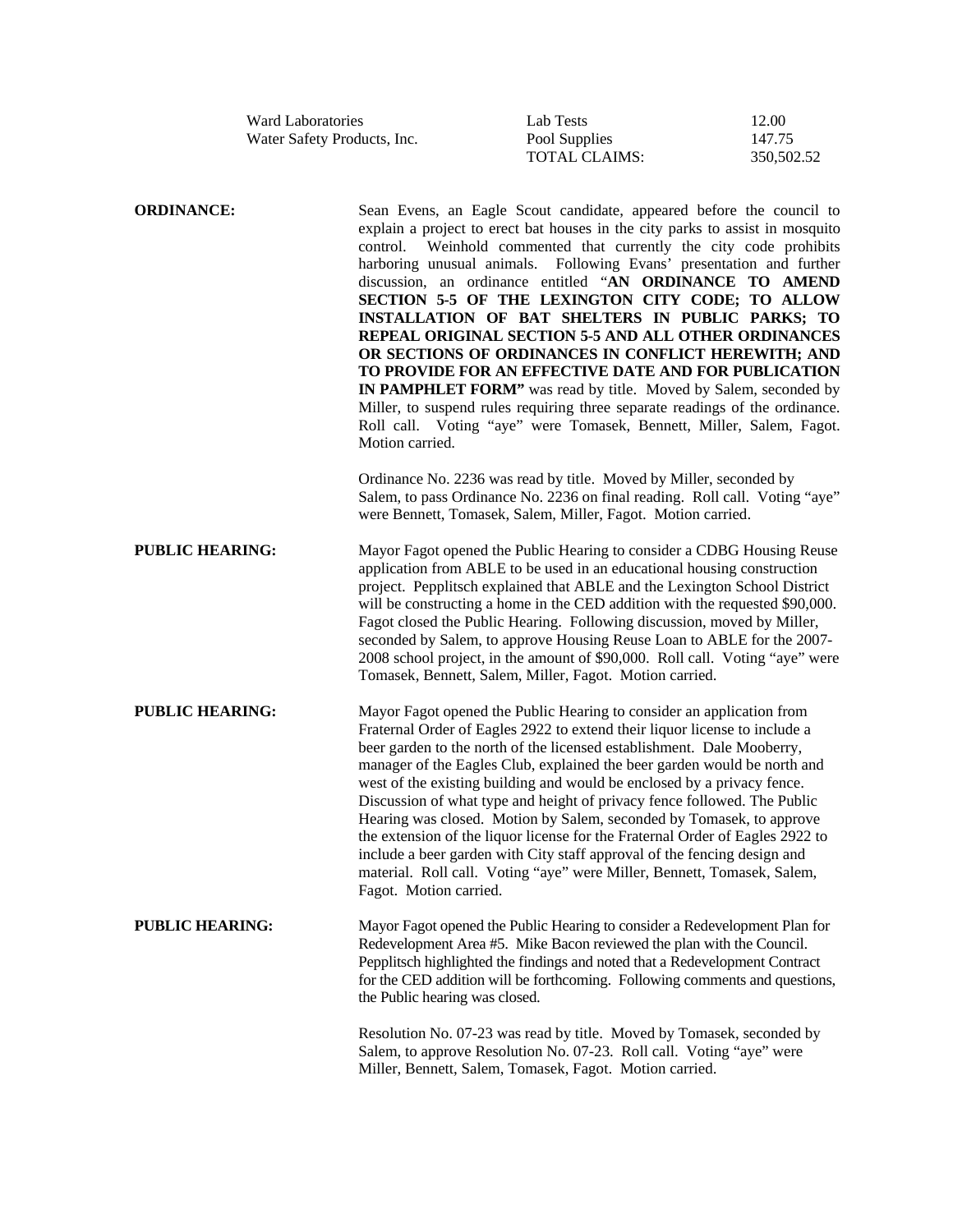| <b>Ward Laboratories</b>    | Lab Tests     | 12.00      |
|-----------------------------|---------------|------------|
| Water Safety Products, Inc. | Pool Supplies | 147.75     |
|                             | TOTAL CLAIMS: | 350.502.52 |

**ORDINANCE:** Sean Evens, an Eagle Scout candidate, appeared before the council to explain a project to erect bat houses in the city parks to assist in mosquito control. Weinhold commented that currently the city code prohibits harboring unusual animals. Following Evans' presentation and further discussion, an ordinance entitled "**AN ORDINANCE TO AMEND SECTION 5-5 OF THE LEXINGTON CITY CODE; TO ALLOW INSTALLATION OF BAT SHELTERS IN PUBLIC PARKS; TO REPEAL ORIGINAL SECTION 5-5 AND ALL OTHER ORDINANCES OR SECTIONS OF ORDINANCES IN CONFLICT HEREWITH; AND TO PROVIDE FOR AN EFFECTIVE DATE AND FOR PUBLICATION IN PAMPHLET FORM"** was read by title. Moved by Salem, seconded by Miller, to suspend rules requiring three separate readings of the ordinance. Roll call. Voting "aye" were Tomasek, Bennett, Miller, Salem, Fagot. Motion carried. Ordinance No. 2236 was read by title. Moved by Miller, seconded by Salem, to pass Ordinance No. 2236 on final reading. Roll call. Voting "aye" were Bennett, Tomasek, Salem, Miller, Fagot. Motion carried. **PUBLIC HEARING:** Mayor Fagot opened the Public Hearing to consider a CDBG Housing Reuse application from ABLE to be used in an educational housing construction project. Pepplitsch explained that ABLE and the Lexington School District will be constructing a home in the CED addition with the requested \$90,000. Fagot closed the Public Hearing. Following discussion, moved by Miller, seconded by Salem, to approve Housing Reuse Loan to ABLE for the 2007- 2008 school project, in the amount of \$90,000. Roll call. Voting "aye" were Tomasek, Bennett, Salem, Miller, Fagot. Motion carried. **PUBLIC HEARING:** Mayor Fagot opened the Public Hearing to consider an application from Fraternal Order of Eagles 2922 to extend their liquor license to include a beer garden to the north of the licensed establishment. Dale Mooberry, manager of the Eagles Club, explained the beer garden would be north and west of the existing building and would be enclosed by a privacy fence. Discussion of what type and height of privacy fence followed. The Public Hearing was closed. Motion by Salem, seconded by Tomasek, to approve the extension of the liquor license for the Fraternal Order of Eagles 2922 to include a beer garden with City staff approval of the fencing design and material. Roll call. Voting "aye" were Miller, Bennett, Tomasek, Salem, Fagot. Motion carried. **PUBLIC HEARING:** Mayor Fagot opened the Public Hearing to consider a Redevelopment Plan for Redevelopment Area #5. Mike Bacon reviewed the plan with the Council. Pepplitsch highlighted the findings and noted that a Redevelopment Contract for the CED addition will be forthcoming. Following comments and questions, the Public hearing was closed.

> Resolution No. 07-23 was read by title. Moved by Tomasek, seconded by Salem, to approve Resolution No. 07-23. Roll call. Voting "aye" were Miller, Bennett, Salem, Tomasek, Fagot. Motion carried.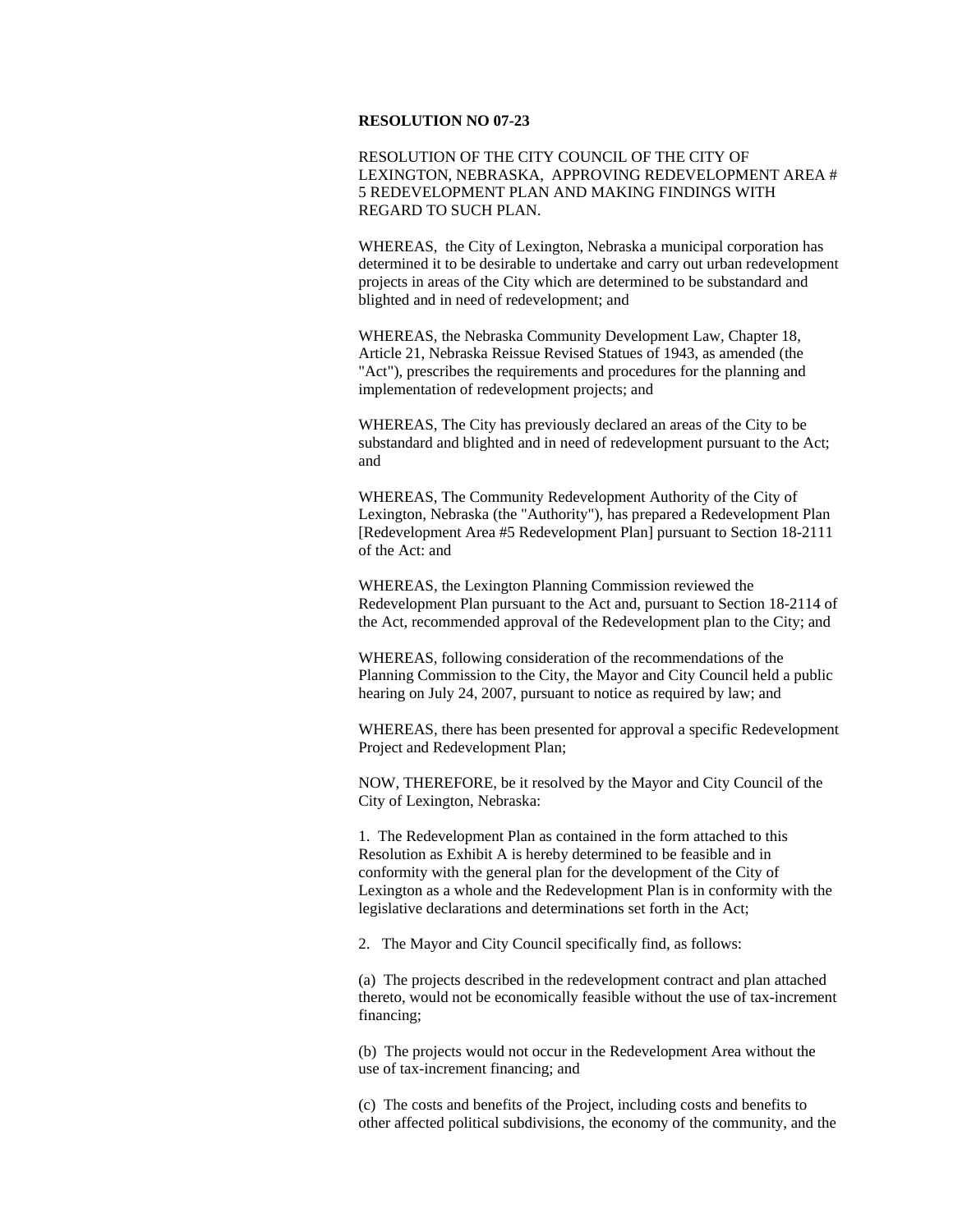## **RESOLUTION NO 07-23**

RESOLUTION OF THE CITY COUNCIL OF THE CITY OF LEXINGTON, NEBRASKA, APPROVING REDEVELOPMENT AREA # 5 REDEVELOPMENT PLAN AND MAKING FINDINGS WITH REGARD TO SUCH PLAN.

WHEREAS, the City of Lexington, Nebraska a municipal corporation has determined it to be desirable to undertake and carry out urban redevelopment projects in areas of the City which are determined to be substandard and blighted and in need of redevelopment; and

WHEREAS, the Nebraska Community Development Law, Chapter 18, Article 21, Nebraska Reissue Revised Statues of 1943, as amended (the "Act"), prescribes the requirements and procedures for the planning and implementation of redevelopment projects; and

WHEREAS, The City has previously declared an areas of the City to be substandard and blighted and in need of redevelopment pursuant to the Act; and

WHEREAS, The Community Redevelopment Authority of the City of Lexington, Nebraska (the "Authority"), has prepared a Redevelopment Plan [Redevelopment Area #5 Redevelopment Plan] pursuant to Section 18-2111 of the Act: and

WHEREAS, the Lexington Planning Commission reviewed the Redevelopment Plan pursuant to the Act and, pursuant to Section 18-2114 of the Act, recommended approval of the Redevelopment plan to the City; and

WHEREAS, following consideration of the recommendations of the Planning Commission to the City, the Mayor and City Council held a public hearing on July 24, 2007, pursuant to notice as required by law; and

WHEREAS, there has been presented for approval a specific Redevelopment Project and Redevelopment Plan;

NOW, THEREFORE, be it resolved by the Mayor and City Council of the City of Lexington, Nebraska:

1. The Redevelopment Plan as contained in the form attached to this Resolution as Exhibit A is hereby determined to be feasible and in conformity with the general plan for the development of the City of Lexington as a whole and the Redevelopment Plan is in conformity with the legislative declarations and determinations set forth in the Act;

2. The Mayor and City Council specifically find, as follows:

 (a) The projects described in the redevelopment contract and plan attached thereto, would not be economically feasible without the use of tax-increment financing;

(b) The projects would not occur in the Redevelopment Area without the use of tax-increment financing; and

(c) The costs and benefits of the Project, including costs and benefits to other affected political subdivisions, the economy of the community, and the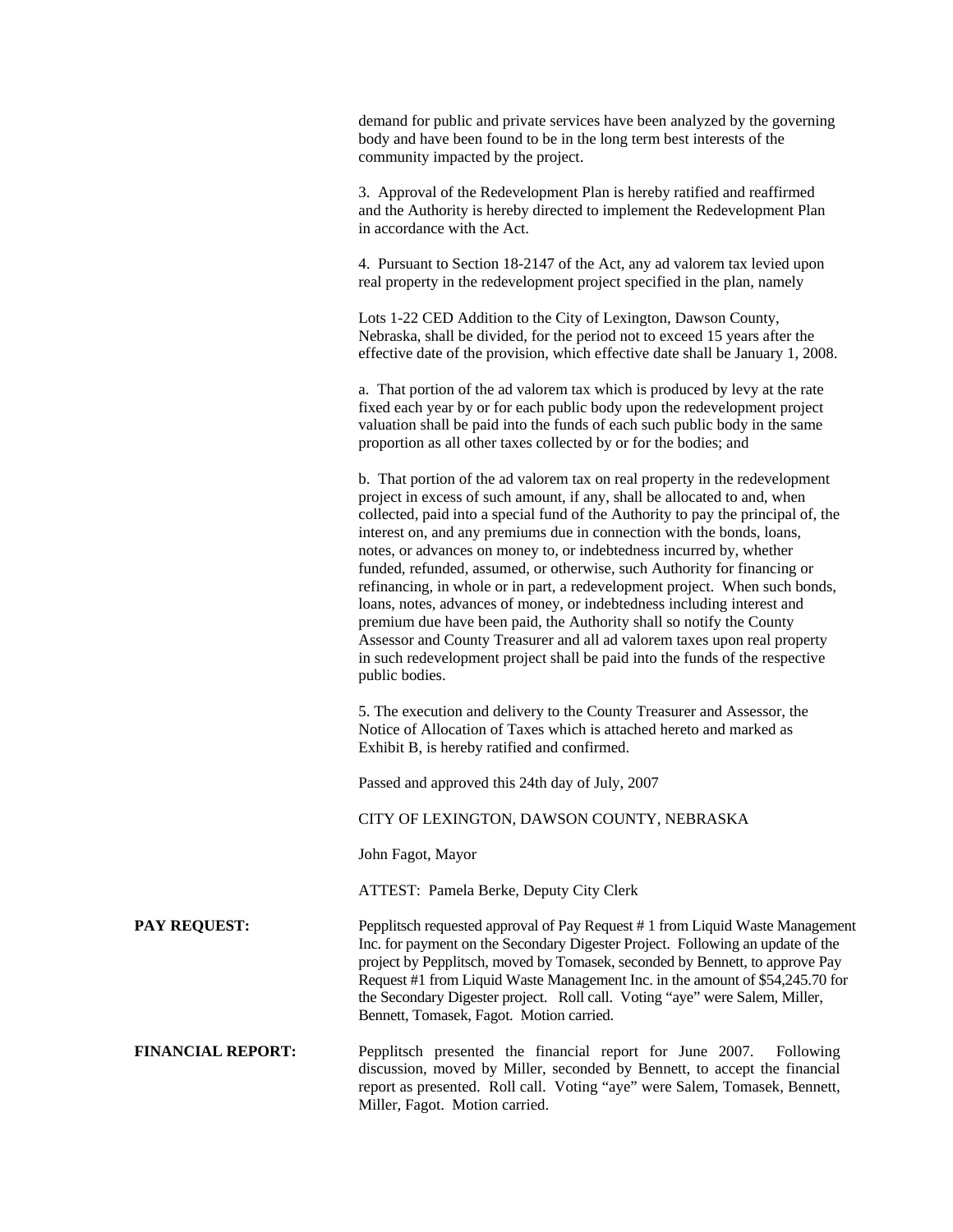demand for public and private services have been analyzed by the governing body and have been found to be in the long term best interests of the community impacted by the project.

3. Approval of the Redevelopment Plan is hereby ratified and reaffirmed and the Authority is hereby directed to implement the Redevelopment Plan in accordance with the Act.

4. Pursuant to Section 18-2147 of the Act, any ad valorem tax levied upon real property in the redevelopment project specified in the plan, namely

Lots 1-22 CED Addition to the City of Lexington, Dawson County, Nebraska, shall be divided, for the period not to exceed 15 years after the effective date of the provision, which effective date shall be January 1, 2008.

a. That portion of the ad valorem tax which is produced by levy at the rate fixed each year by or for each public body upon the redevelopment project valuation shall be paid into the funds of each such public body in the same proportion as all other taxes collected by or for the bodies; and

b. That portion of the ad valorem tax on real property in the redevelopment project in excess of such amount, if any, shall be allocated to and, when collected, paid into a special fund of the Authority to pay the principal of, the interest on, and any premiums due in connection with the bonds, loans, notes, or advances on money to, or indebtedness incurred by, whether funded, refunded, assumed, or otherwise, such Authority for financing or refinancing, in whole or in part, a redevelopment project. When such bonds, loans, notes, advances of money, or indebtedness including interest and premium due have been paid, the Authority shall so notify the County Assessor and County Treasurer and all ad valorem taxes upon real property in such redevelopment project shall be paid into the funds of the respective public bodies.

5. The execution and delivery to the County Treasurer and Assessor, the Notice of Allocation of Taxes which is attached hereto and marked as Exhibit B, is hereby ratified and confirmed.

Passed and approved this 24th day of July, 2007

CITY OF LEXINGTON, DAWSON COUNTY, NEBRASKA

John Fagot, Mayor

ATTEST: Pamela Berke, Deputy City Clerk

**PAY REQUEST:** Pepplitsch requested approval of Pay Request # 1 from Liquid Waste Management Inc. for payment on the Secondary Digester Project. Following an update of the project by Pepplitsch, moved by Tomasek, seconded by Bennett, to approve Pay Request #1 from Liquid Waste Management Inc. in the amount of \$54,245.70 for the Secondary Digester project. Roll call. Voting "aye" were Salem, Miller, Bennett, Tomasek, Fagot. Motion carried.

**FINANCIAL REPORT:** Pepplitsch presented the financial report for June 2007. Following discussion, moved by Miller, seconded by Bennett, to accept the financial report as presented. Roll call. Voting "aye" were Salem, Tomasek, Bennett, Miller, Fagot. Motion carried.